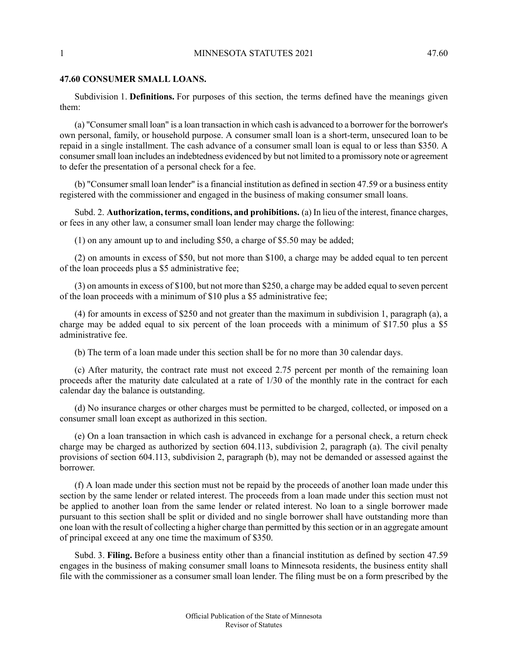## 1 MINNESOTA STATUTES 2021 47.60

## **47.60 CONSUMER SMALL LOANS.**

Subdivision 1. **Definitions.** For purposes of this section, the terms defined have the meanings given them:

(a) "Consumersmall loan" is a loan transaction in which cash is advanced to a borrower for the borrower's own personal, family, or household purpose. A consumer small loan is a short-term, unsecured loan to be repaid in a single installment. The cash advance of a consumer small loan is equal to or less than \$350. A consumer small loan includes an indebtedness evidenced by but not limited to a promissory note or agreement to defer the presentation of a personal check for a fee.

(b) "Consumer small loan lender" is a financial institution as defined in section 47.59 or a business entity registered with the commissioner and engaged in the business of making consumer small loans.

Subd. 2. **Authorization, terms, conditions, and prohibitions.** (a) In lieu of the interest, finance charges, or fees in any other law, a consumer small loan lender may charge the following:

(1) on any amount up to and including \$50, a charge of \$5.50 may be added;

(2) on amounts in excess of \$50, but not more than \$100, a charge may be added equal to ten percent of the loan proceeds plus a \$5 administrative fee;

(3) on amounts in excess of \$100, but not more than \$250, a charge may be added equal to seven percent of the loan proceeds with a minimum of \$10 plus a \$5 administrative fee;

(4) for amounts in excess of \$250 and not greater than the maximum in subdivision 1, paragraph (a), a charge may be added equal to six percent of the loan proceeds with a minimum of \$17.50 plus a \$5 administrative fee.

(b) The term of a loan made under this section shall be for no more than 30 calendar days.

(c) After maturity, the contract rate must not exceed 2.75 percent per month of the remaining loan proceeds after the maturity date calculated at a rate of 1/30 of the monthly rate in the contract for each calendar day the balance is outstanding.

(d) No insurance charges or other charges must be permitted to be charged, collected, or imposed on a consumer small loan except as authorized in this section.

(e) On a loan transaction in which cash is advanced in exchange for a personal check, a return check charge may be charged as authorized by section 604.113, subdivision 2, paragraph (a). The civil penalty provisions of section 604.113, subdivision 2, paragraph (b), may not be demanded or assessed against the borrower.

(f) A loan made under this section must not be repaid by the proceeds of another loan made under this section by the same lender or related interest. The proceeds from a loan made under this section must not be applied to another loan from the same lender or related interest. No loan to a single borrower made pursuant to this section shall be split or divided and no single borrower shall have outstanding more than one loan with the result of collecting a higher charge than permitted by this section or in an aggregate amount of principal exceed at any one time the maximum of \$350.

Subd. 3. **Filing.** Before a business entity other than a financial institution as defined by section 47.59 engages in the business of making consumer small loans to Minnesota residents, the business entity shall file with the commissioner as a consumer small loan lender. The filing must be on a form prescribed by the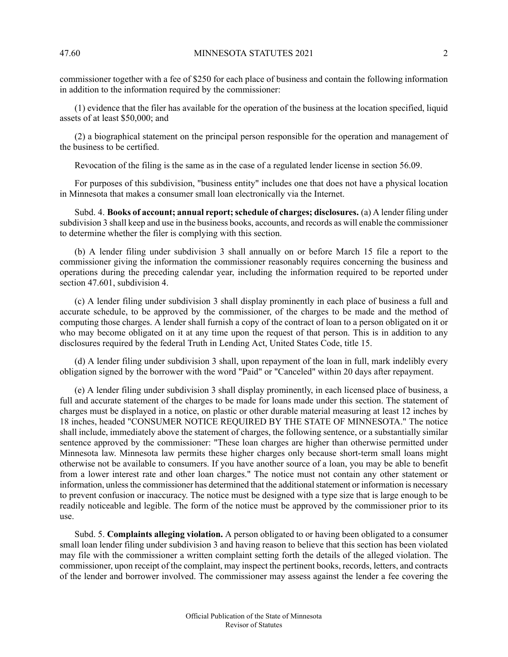commissioner together with a fee of \$250 for each place of business and contain the following information in addition to the information required by the commissioner:

(1) evidence that the filer has available for the operation of the business at the location specified, liquid assets of at least \$50,000; and

(2) a biographical statement on the principal person responsible for the operation and management of the business to be certified.

Revocation of the filing is the same as in the case of a regulated lender license in section 56.09.

For purposes of this subdivision, "business entity" includes one that does not have a physical location in Minnesota that makes a consumer small loan electronically via the Internet.

Subd. 4. **Books of account; annual report;schedule of charges; disclosures.** (a) A lender filing under subdivision 3 shall keep and use in the business books, accounts, and records as will enable the commissioner to determine whether the filer is complying with this section.

(b) A lender filing under subdivision 3 shall annually on or before March 15 file a report to the commissioner giving the information the commissioner reasonably requires concerning the business and operations during the preceding calendar year, including the information required to be reported under section 47.601, subdivision 4.

(c) A lender filing under subdivision 3 shall display prominently in each place of business a full and accurate schedule, to be approved by the commissioner, of the charges to be made and the method of computing those charges. A lender shall furnish a copy of the contract of loan to a person obligated on it or who may become obligated on it at any time upon the request of that person. This is in addition to any disclosures required by the federal Truth in Lending Act, United States Code, title 15.

(d) A lender filing under subdivision 3 shall, upon repayment of the loan in full, mark indelibly every obligation signed by the borrower with the word "Paid" or "Canceled" within 20 days after repayment.

(e) A lender filing under subdivision 3 shall display prominently, in each licensed place of business, a full and accurate statement of the charges to be made for loans made under this section. The statement of charges must be displayed in a notice, on plastic or other durable material measuring at least 12 inches by 18 inches, headed "CONSUMER NOTICE REQUIRED BY THE STATE OF MINNESOTA." The notice shall include, immediately above the statement of charges, the following sentence, or a substantially similar sentence approved by the commissioner: "These loan charges are higher than otherwise permitted under Minnesota law. Minnesota law permits these higher charges only because short-term small loans might otherwise not be available to consumers. If you have another source of a loan, you may be able to benefit from a lower interest rate and other loan charges." The notice must not contain any other statement or information, unless the commissioner has determined that the additional statement or information is necessary to prevent confusion or inaccuracy. The notice must be designed with a type size that is large enough to be readily noticeable and legible. The form of the notice must be approved by the commissioner prior to its use.

Subd. 5. **Complaints alleging violation.** A person obligated to or having been obligated to a consumer small loan lender filing under subdivision 3 and having reason to believe that this section has been violated may file with the commissioner a written complaint setting forth the details of the alleged violation. The commissioner, upon receipt of the complaint, may inspect the pertinent books, records, letters, and contracts of the lender and borrower involved. The commissioner may assess against the lender a fee covering the